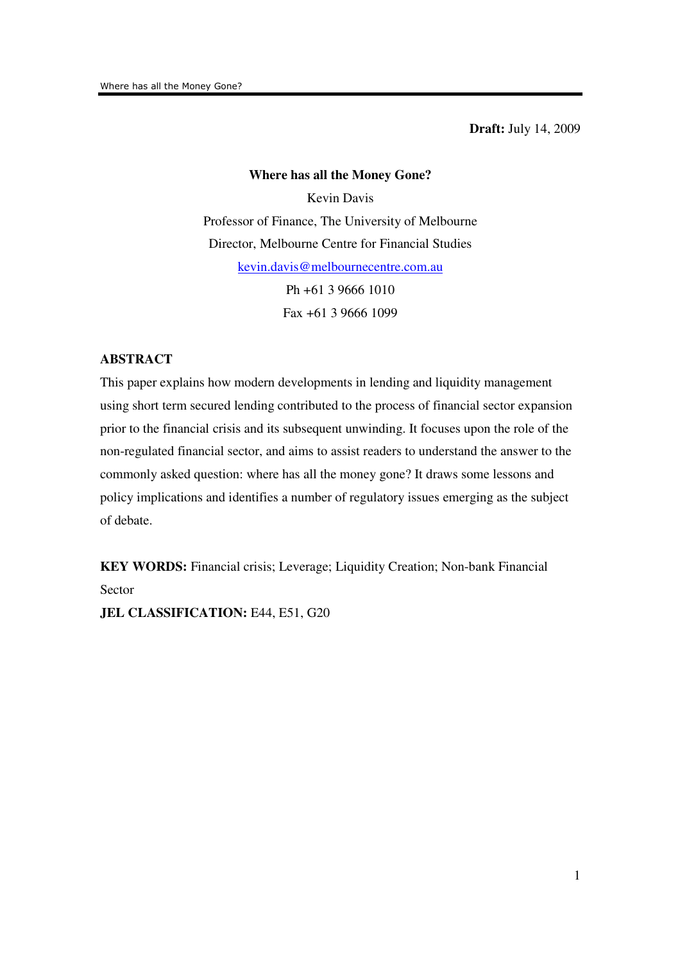**Draft:** July 14, 2009

# **Where has all the Money Gone?** Kevin Davis Professor of Finance, The University of Melbourne Director, Melbourne Centre for Financial Studies kevin.davis@melbournecentre.com.au Ph +61 3 9666 1010 Fax +61 3 9666 1099

# **ABSTRACT**

This paper explains how modern developments in lending and liquidity management using short term secured lending contributed to the process of financial sector expansion prior to the financial crisis and its subsequent unwinding. It focuses upon the role of the non-regulated financial sector, and aims to assist readers to understand the answer to the commonly asked question: where has all the money gone? It draws some lessons and policy implications and identifies a number of regulatory issues emerging as the subject of debate.

**KEY WORDS:** Financial crisis; Leverage; Liquidity Creation; Non-bank Financial Sector

**JEL CLASSIFICATION: E44, E51, G20**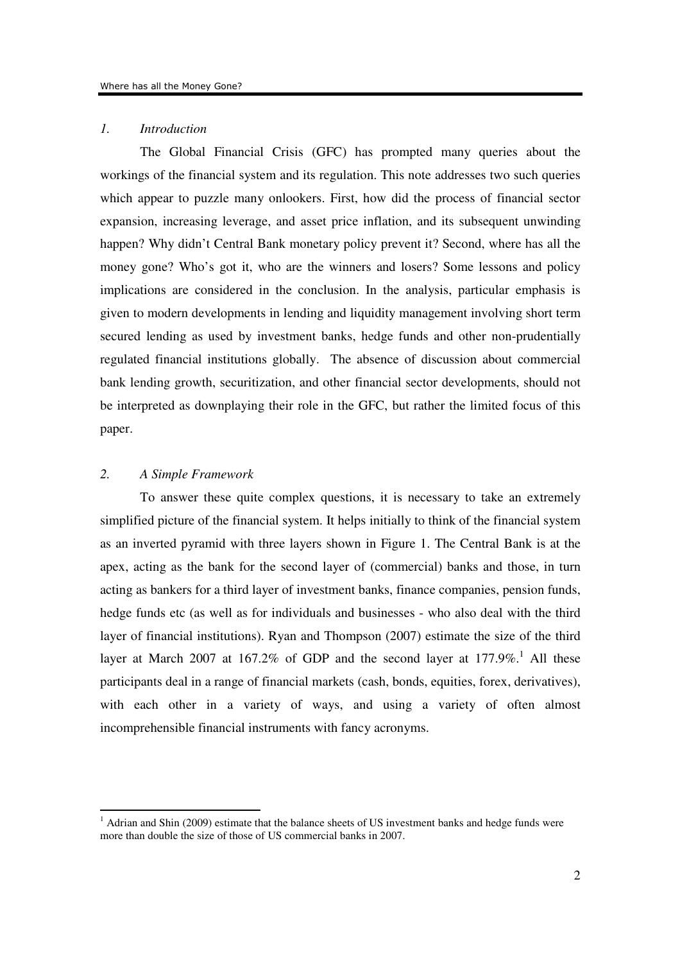## *1. Introduction*

The Global Financial Crisis (GFC) has prompted many queries about the workings of the financial system and its regulation. This note addresses two such queries which appear to puzzle many onlookers. First, how did the process of financial sector expansion, increasing leverage, and asset price inflation, and its subsequent unwinding happen? Why didn't Central Bank monetary policy prevent it? Second, where has all the money gone? Who's got it, who are the winners and losers? Some lessons and policy implications are considered in the conclusion. In the analysis, particular emphasis is given to modern developments in lending and liquidity management involving short term secured lending as used by investment banks, hedge funds and other non-prudentially regulated financial institutions globally. The absence of discussion about commercial bank lending growth, securitization, and other financial sector developments, should not be interpreted as downplaying their role in the GFC, but rather the limited focus of this paper.

# *2. A Simple Framework*

-

To answer these quite complex questions, it is necessary to take an extremely simplified picture of the financial system. It helps initially to think of the financial system as an inverted pyramid with three layers shown in Figure 1. The Central Bank is at the apex, acting as the bank for the second layer of (commercial) banks and those, in turn acting as bankers for a third layer of investment banks, finance companies, pension funds, hedge funds etc (as well as for individuals and businesses - who also deal with the third layer of financial institutions). Ryan and Thompson (2007) estimate the size of the third layer at March 2007 at 167.2% of GDP and the second layer at  $177.9\%$ .<sup>1</sup> All these participants deal in a range of financial markets (cash, bonds, equities, forex, derivatives), with each other in a variety of ways, and using a variety of often almost incomprehensible financial instruments with fancy acronyms.

 $1$  Adrian and Shin (2009) estimate that the balance sheets of US investment banks and hedge funds were more than double the size of those of US commercial banks in 2007.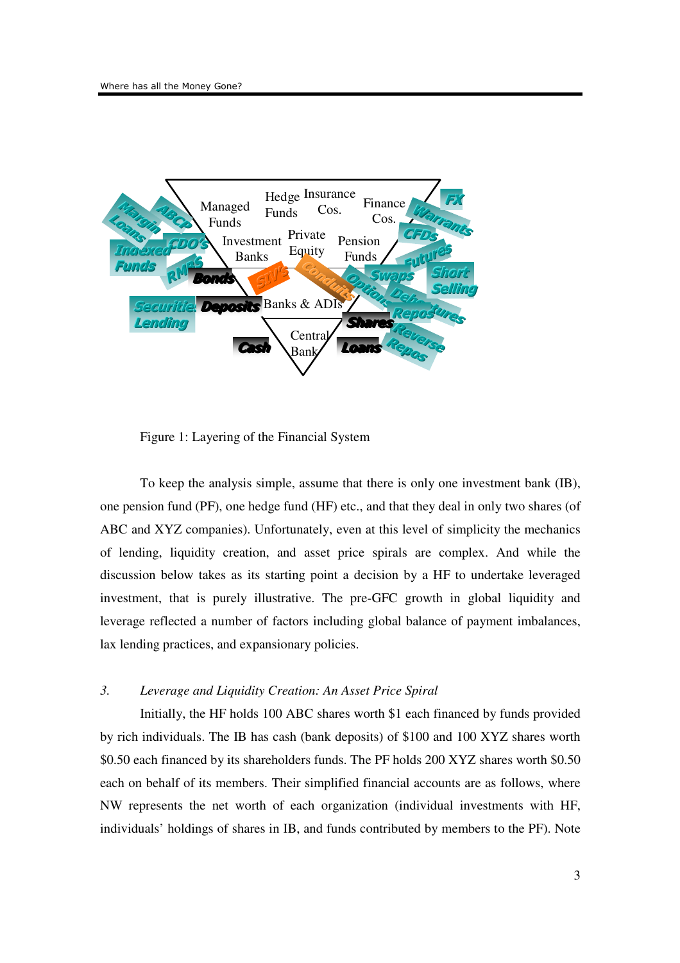

Figure 1: Layering of the Financial System

To keep the analysis simple, assume that there is only one investment bank (IB), one pension fund (PF), one hedge fund (HF) etc., and that they deal in only two shares (of ABC and XYZ companies). Unfortunately, even at this level of simplicity the mechanics of lending, liquidity creation, and asset price spirals are complex. And while the discussion below takes as its starting point a decision by a HF to undertake leveraged investment, that is purely illustrative. The pre-GFC growth in global liquidity and leverage reflected a number of factors including global balance of payment imbalances, lax lending practices, and expansionary policies.

## *3. Leverage and Liquidity Creation: An Asset Price Spiral*

Initially, the HF holds 100 ABC shares worth \$1 each financed by funds provided by rich individuals. The IB has cash (bank deposits) of \$100 and 100 XYZ shares worth \$0.50 each financed by its shareholders funds. The PF holds 200 XYZ shares worth \$0.50 each on behalf of its members. Their simplified financial accounts are as follows, where NW represents the net worth of each organization (individual investments with HF, individuals' holdings of shares in IB, and funds contributed by members to the PF). Note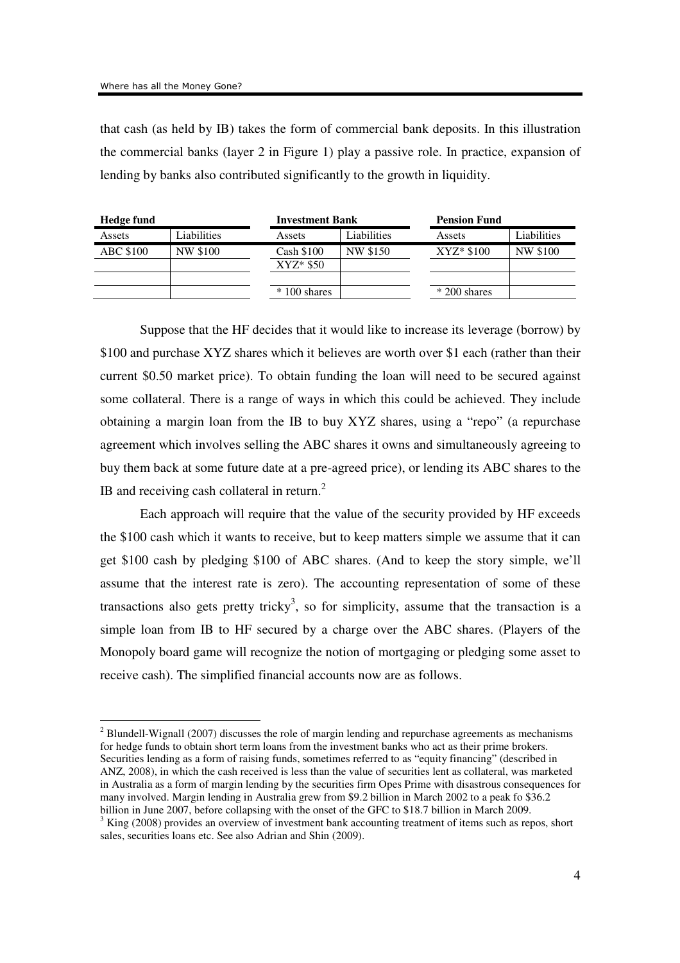that cash (as held by IB) takes the form of commercial bank deposits. In this illustration the commercial banks (layer 2 in Figure 1) play a passive role. In practice, expansion of lending by banks also contributed significantly to the growth in liquidity.

| Hedge fund       |             | <b>Investment Bank</b> |             | <b>Pension Fund</b> |             |
|------------------|-------------|------------------------|-------------|---------------------|-------------|
| Assets           | Liabilities | Assets                 | Liabilities | Assets              | Liabilities |
| <b>ABC \$100</b> | NW \$100    | Cash \$100             | NW \$150    | $XYZ* $100$         | NW \$100    |
|                  |             | $XYZ*$ \$50            |             |                     |             |
|                  |             |                        |             |                     |             |
|                  |             | $*100$ shares          |             | $*200$ shares       |             |

Suppose that the HF decides that it would like to increase its leverage (borrow) by \$100 and purchase XYZ shares which it believes are worth over \$1 each (rather than their current \$0.50 market price). To obtain funding the loan will need to be secured against some collateral. There is a range of ways in which this could be achieved. They include obtaining a margin loan from the IB to buy XYZ shares, using a "repo" (a repurchase agreement which involves selling the ABC shares it owns and simultaneously agreeing to buy them back at some future date at a pre-agreed price), or lending its ABC shares to the IB and receiving cash collateral in return. $<sup>2</sup>$ </sup>

Each approach will require that the value of the security provided by HF exceeds the \$100 cash which it wants to receive, but to keep matters simple we assume that it can get \$100 cash by pledging \$100 of ABC shares. (And to keep the story simple, we'll assume that the interest rate is zero). The accounting representation of some of these transactions also gets pretty tricky<sup>3</sup>, so for simplicity, assume that the transaction is a simple loan from IB to HF secured by a charge over the ABC shares. (Players of the Monopoly board game will recognize the notion of mortgaging or pledging some asset to receive cash). The simplified financial accounts now are as follows.

 $2^{2}$  Blundell-Wignall (2007) discusses the role of margin lending and repurchase agreements as mechanisms for hedge funds to obtain short term loans from the investment banks who act as their prime brokers. Securities lending as a form of raising funds, sometimes referred to as "equity financing" (described in ANZ, 2008), in which the cash received is less than the value of securities lent as collateral, was marketed in Australia as a form of margin lending by the securities firm Opes Prime with disastrous consequences for many involved. Margin lending in Australia grew from \$9.2 billion in March 2002 to a peak fo \$36.2 billion in June 2007, before collapsing with the onset of the GFC to \$18.7 billion in March 2009.

 $3$  King (2008) provides an overview of investment bank accounting treatment of items such as repos, short sales, securities loans etc. See also Adrian and Shin (2009).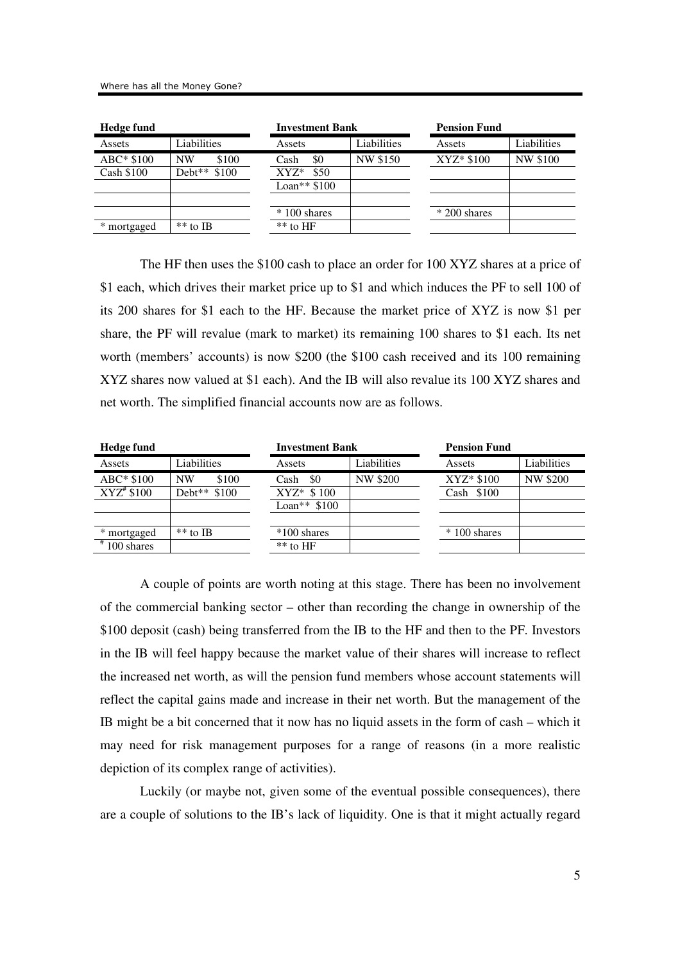| <b>Hedge fund</b> |                    | Investment Bank |             | <b>Pension Fund</b> |                 |
|-------------------|--------------------|-----------------|-------------|---------------------|-----------------|
| Assets            | Liabilities        | Assets          | Liabilities | Assets              | Liabilities     |
| ABC* \$100        | \$100<br><b>NW</b> | \$0<br>Cash     | NW \$150    | $XYZ* $100$         | <b>NW \$100</b> |
| Cash \$100        | \$100<br>$Debt**$  | \$50<br>$XYZ^*$ |             |                     |                 |
|                   |                    | Loan** $$100$   |             |                     |                 |
|                   |                    |                 |             |                     |                 |
|                   |                    | $*100$ shares   |             | $*200$ shares       |                 |
| * mortgaged       | $**$ to IB         | $**$ to HF      |             |                     |                 |
|                   |                    |                 |             |                     |                 |

The HF then uses the \$100 cash to place an order for 100 XYZ shares at a price of \$1 each, which drives their market price up to \$1 and which induces the PF to sell 100 of its 200 shares for \$1 each to the HF. Because the market price of XYZ is now \$1 per share, the PF will revalue (mark to market) its remaining 100 shares to \$1 each. Its net worth (members' accounts) is now \$200 (the \$100 cash received and its 100 remaining XYZ shares now valued at \$1 each). And the IB will also revalue its 100 XYZ shares and net worth. The simplified financial accounts now are as follows.

| Hedge fund    |                          | <b>Investment Bank</b> |                 | <b>Pension Fund</b> |                 |  |
|---------------|--------------------------|------------------------|-----------------|---------------------|-----------------|--|
| Assets        | Liabilities              | Assets                 | Liabilities     | Assets              | Liabilities     |  |
| $ABC* $100$   | \$100<br><b>NW</b>       | \$0<br>Cash            | <b>NW \$200</b> | $XYZ* $100$         | <b>NW \$200</b> |  |
| $XYZ^*$ \$100 | Debt <sup>**</sup> \$100 | $XYZ^*$ \$ 100         |                 | Cash $$100$         |                 |  |
|               |                          | Loan** $$100$          |                 |                     |                 |  |
|               |                          |                        |                 |                     |                 |  |
| * mortgaged   | $*$ * to IB              | $*100$ shares          |                 | $*100$ shares       |                 |  |
| $*100$ shares |                          | $**$ to HF             |                 |                     |                 |  |

A couple of points are worth noting at this stage. There has been no involvement of the commercial banking sector – other than recording the change in ownership of the \$100 deposit (cash) being transferred from the IB to the HF and then to the PF. Investors in the IB will feel happy because the market value of their shares will increase to reflect the increased net worth, as will the pension fund members whose account statements will reflect the capital gains made and increase in their net worth. But the management of the IB might be a bit concerned that it now has no liquid assets in the form of cash – which it may need for risk management purposes for a range of reasons (in a more realistic depiction of its complex range of activities).

Luckily (or maybe not, given some of the eventual possible consequences), there are a couple of solutions to the IB's lack of liquidity. One is that it might actually regard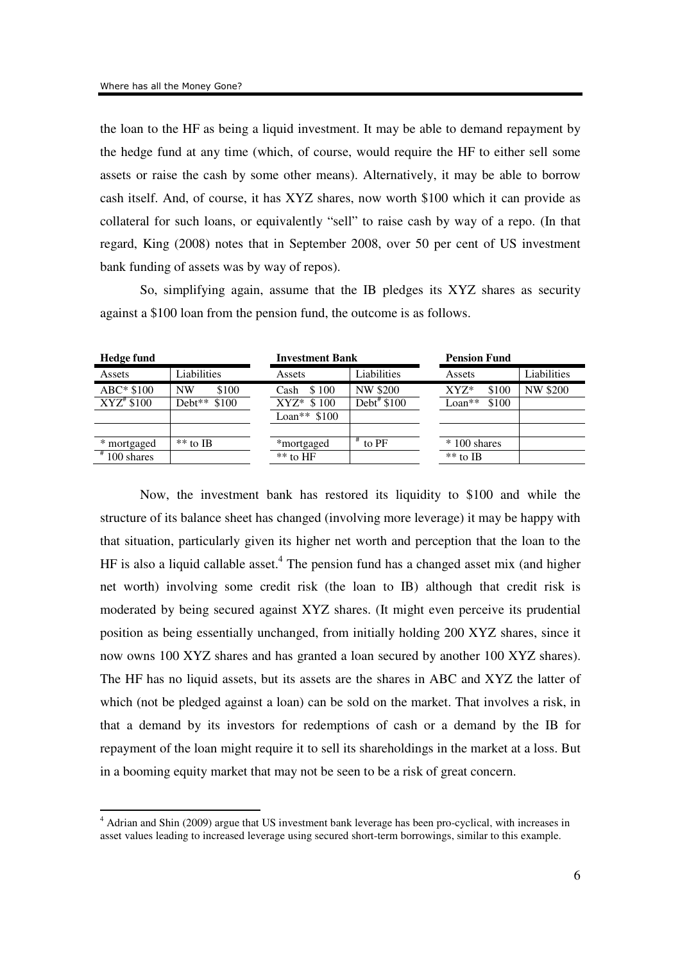the loan to the HF as being a liquid investment. It may be able to demand repayment by the hedge fund at any time (which, of course, would require the HF to either sell some assets or raise the cash by some other means). Alternatively, it may be able to borrow cash itself. And, of course, it has XYZ shares, now worth \$100 which it can provide as collateral for such loans, or equivalently "sell" to raise cash by way of a repo. (In that regard, King (2008) notes that in September 2008, over 50 per cent of US investment bank funding of assets was by way of repos).

So, simplifying again, assume that the IB pledges its XYZ shares as security against a \$100 loan from the pension fund, the outcome is as follows.

| <b>Hedge fund</b>        |              | <b>Investment Bank</b> |              | <b>Pension Fund</b> |                 |
|--------------------------|--------------|------------------------|--------------|---------------------|-----------------|
| Assets                   | Liabilities  | Assets                 | Liabilities  | Assets              | Liabilities     |
| $ABC* $100$              | \$100<br>NW  | \$100<br>Cash          | NW \$200     | $XYZ^*$<br>\$100    | <b>NW \$200</b> |
| $XYZ^*$ \$100            | Debt** \$100 | $XYZ^*$ \$100          | Debt# $$100$ | $Loan**$<br>\$100   |                 |
|                          |              | Loan** $$100$          |              |                     |                 |
|                          |              |                        |              |                     |                 |
| * mortgaged              | $**$ to IB   | *mortgaged             | to PF        | $*100$ shares       |                 |
| $\frac{1}{4}$ 100 shares |              | $**$ to HF             |              | $**$ to IB          |                 |
|                          |              |                        |              |                     |                 |

Now, the investment bank has restored its liquidity to \$100 and while the structure of its balance sheet has changed (involving more leverage) it may be happy with that situation, particularly given its higher net worth and perception that the loan to the HF is also a liquid callable asset.<sup>4</sup> The pension fund has a changed asset mix (and higher net worth) involving some credit risk (the loan to IB) although that credit risk is moderated by being secured against XYZ shares. (It might even perceive its prudential position as being essentially unchanged, from initially holding 200 XYZ shares, since it now owns 100 XYZ shares and has granted a loan secured by another 100 XYZ shares). The HF has no liquid assets, but its assets are the shares in ABC and XYZ the latter of which (not be pledged against a loan) can be sold on the market. That involves a risk, in that a demand by its investors for redemptions of cash or a demand by the IB for repayment of the loan might require it to sell its shareholdings in the market at a loss. But in a booming equity market that may not be seen to be a risk of great concern.

<sup>&</sup>lt;sup>4</sup> Adrian and Shin (2009) argue that US investment bank leverage has been pro-cyclical, with increases in asset values leading to increased leverage using secured short-term borrowings, similar to this example.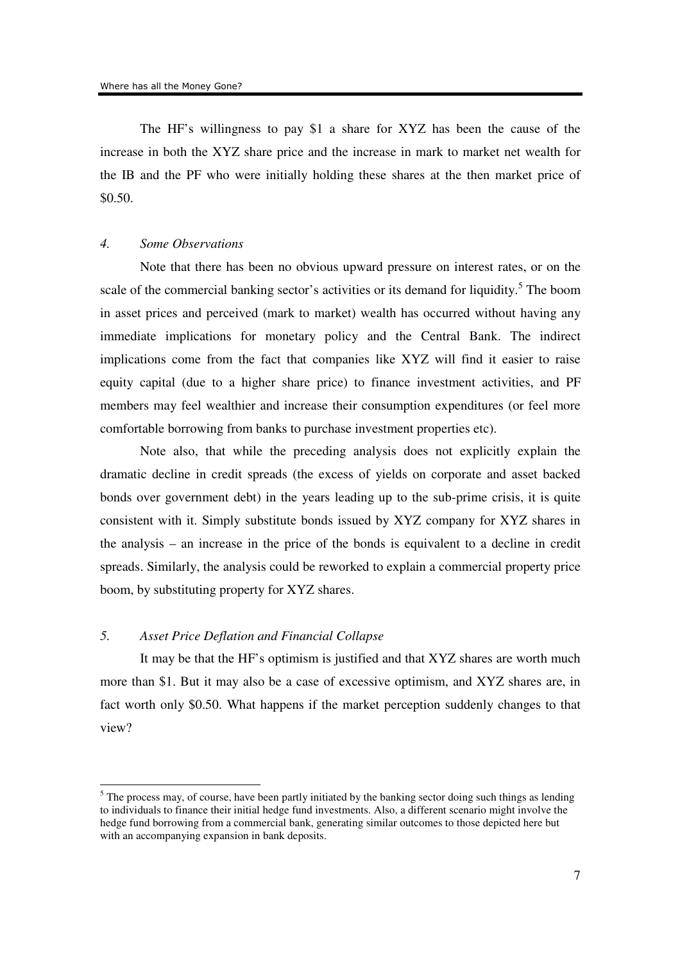The HF's willingness to pay \$1 a share for XYZ has been the cause of the increase in both the XYZ share price and the increase in mark to market net wealth for the IB and the PF who were initially holding these shares at the then market price of \$0.50.

#### *4. Some Observations*

Note that there has been no obvious upward pressure on interest rates, or on the scale of the commercial banking sector's activities or its demand for liquidity.<sup>5</sup> The boom in asset prices and perceived (mark to market) wealth has occurred without having any immediate implications for monetary policy and the Central Bank. The indirect implications come from the fact that companies like XYZ will find it easier to raise equity capital (due to a higher share price) to finance investment activities, and PF members may feel wealthier and increase their consumption expenditures (or feel more comfortable borrowing from banks to purchase investment properties etc).

Note also, that while the preceding analysis does not explicitly explain the dramatic decline in credit spreads (the excess of yields on corporate and asset backed bonds over government debt) in the years leading up to the sub-prime crisis, it is quite consistent with it. Simply substitute bonds issued by XYZ company for XYZ shares in the analysis – an increase in the price of the bonds is equivalent to a decline in credit spreads. Similarly, the analysis could be reworked to explain a commercial property price boom, by substituting property for XYZ shares.

# *5. Asset Price Deflation and Financial Collapse*

-

It may be that the HF's optimism is justified and that XYZ shares are worth much more than \$1. But it may also be a case of excessive optimism, and XYZ shares are, in fact worth only \$0.50. What happens if the market perception suddenly changes to that view?

<sup>&</sup>lt;sup>5</sup> The process may, of course, have been partly initiated by the banking sector doing such things as lending to individuals to finance their initial hedge fund investments. Also, a different scenario might involve the hedge fund borrowing from a commercial bank, generating similar outcomes to those depicted here but with an accompanying expansion in bank deposits.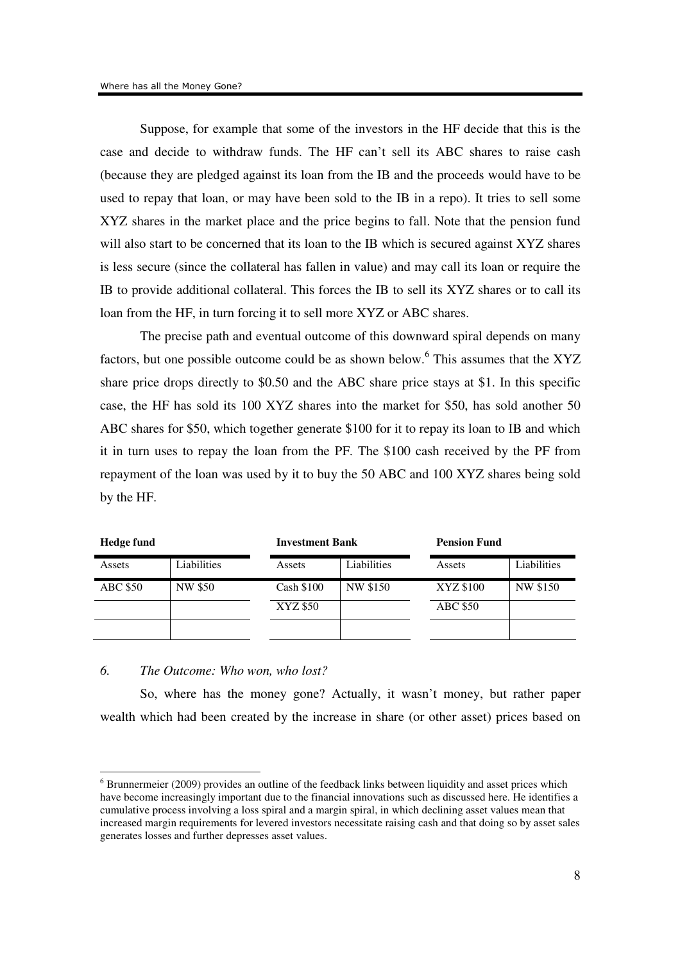Suppose, for example that some of the investors in the HF decide that this is the case and decide to withdraw funds. The HF can't sell its ABC shares to raise cash (because they are pledged against its loan from the IB and the proceeds would have to be used to repay that loan, or may have been sold to the IB in a repo). It tries to sell some XYZ shares in the market place and the price begins to fall. Note that the pension fund will also start to be concerned that its loan to the IB which is secured against XYZ shares is less secure (since the collateral has fallen in value) and may call its loan or require the IB to provide additional collateral. This forces the IB to sell its XYZ shares or to call its loan from the HF, in turn forcing it to sell more XYZ or ABC shares.

The precise path and eventual outcome of this downward spiral depends on many factors, but one possible outcome could be as shown below.<sup>6</sup> This assumes that the XYZ share price drops directly to \$0.50 and the ABC share price stays at \$1. In this specific case, the HF has sold its 100 XYZ shares into the market for \$50, has sold another 50 ABC shares for \$50, which together generate \$100 for it to repay its loan to IB and which it in turn uses to repay the loan from the PF. The \$100 cash received by the PF from repayment of the loan was used by it to buy the 50 ABC and 100 XYZ shares being sold by the HF.

| Hedge fund      |             |            | <b>Investment Bank</b> |                 | <b>Pension Fund</b> |  |
|-----------------|-------------|------------|------------------------|-----------------|---------------------|--|
| Assets          | Liabilities | Assets     | Liabilities            | Assets          | Liabilities         |  |
| <b>ABC \$50</b> | NW \$50     | Cash \$100 | NW \$150               | XYZ \$100       | NW \$150            |  |
|                 |             | XYZ \$50   |                        | <b>ABC \$50</b> |                     |  |
|                 |             |            |                        |                 |                     |  |

#### *6. The Outcome: Who won, who lost?*

-

So, where has the money gone? Actually, it wasn't money, but rather paper wealth which had been created by the increase in share (or other asset) prices based on

 $6$  Brunnermeier (2009) provides an outline of the feedback links between liquidity and asset prices which have become increasingly important due to the financial innovations such as discussed here. He identifies a cumulative process involving a loss spiral and a margin spiral, in which declining asset values mean that increased margin requirements for levered investors necessitate raising cash and that doing so by asset sales generates losses and further depresses asset values.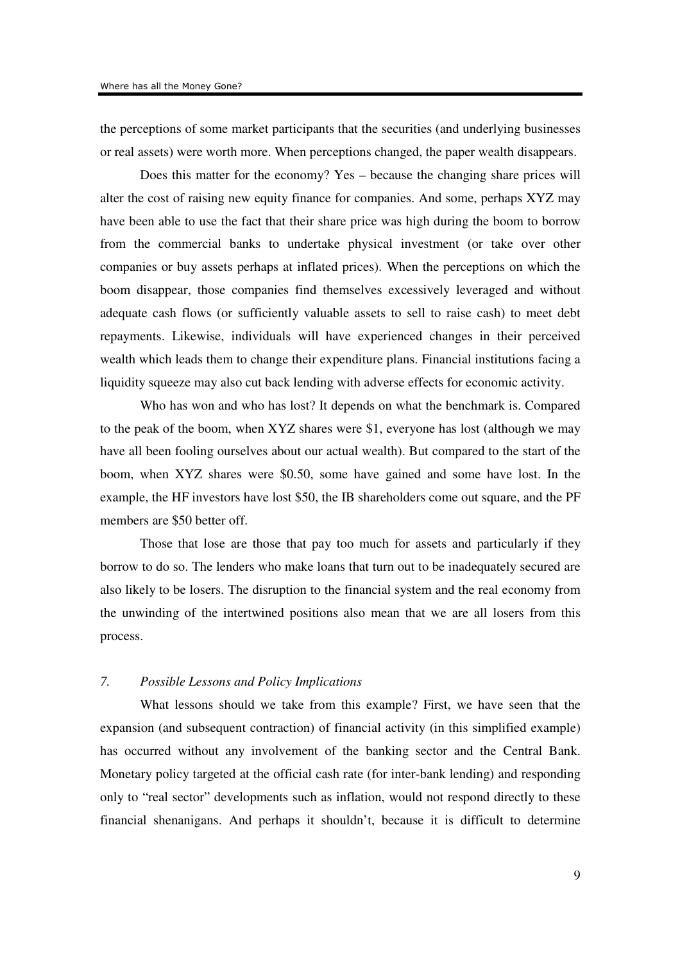the perceptions of some market participants that the securities (and underlying businesses or real assets) were worth more. When perceptions changed, the paper wealth disappears.

Does this matter for the economy? Yes – because the changing share prices will alter the cost of raising new equity finance for companies. And some, perhaps XYZ may have been able to use the fact that their share price was high during the boom to borrow from the commercial banks to undertake physical investment (or take over other companies or buy assets perhaps at inflated prices). When the perceptions on which the boom disappear, those companies find themselves excessively leveraged and without adequate cash flows (or sufficiently valuable assets to sell to raise cash) to meet debt repayments. Likewise, individuals will have experienced changes in their perceived wealth which leads them to change their expenditure plans. Financial institutions facing a liquidity squeeze may also cut back lending with adverse effects for economic activity.

Who has won and who has lost? It depends on what the benchmark is. Compared to the peak of the boom, when XYZ shares were \$1, everyone has lost (although we may have all been fooling ourselves about our actual wealth). But compared to the start of the boom, when XYZ shares were \$0.50, some have gained and some have lost. In the example, the HF investors have lost \$50, the IB shareholders come out square, and the PF members are \$50 better off.

Those that lose are those that pay too much for assets and particularly if they borrow to do so. The lenders who make loans that turn out to be inadequately secured are also likely to be losers. The disruption to the financial system and the real economy from the unwinding of the intertwined positions also mean that we are all losers from this process.

## *7. Possible Lessons and Policy Implications*

What lessons should we take from this example? First, we have seen that the expansion (and subsequent contraction) of financial activity (in this simplified example) has occurred without any involvement of the banking sector and the Central Bank. Monetary policy targeted at the official cash rate (for inter-bank lending) and responding only to "real sector" developments such as inflation, would not respond directly to these financial shenanigans. And perhaps it shouldn't, because it is difficult to determine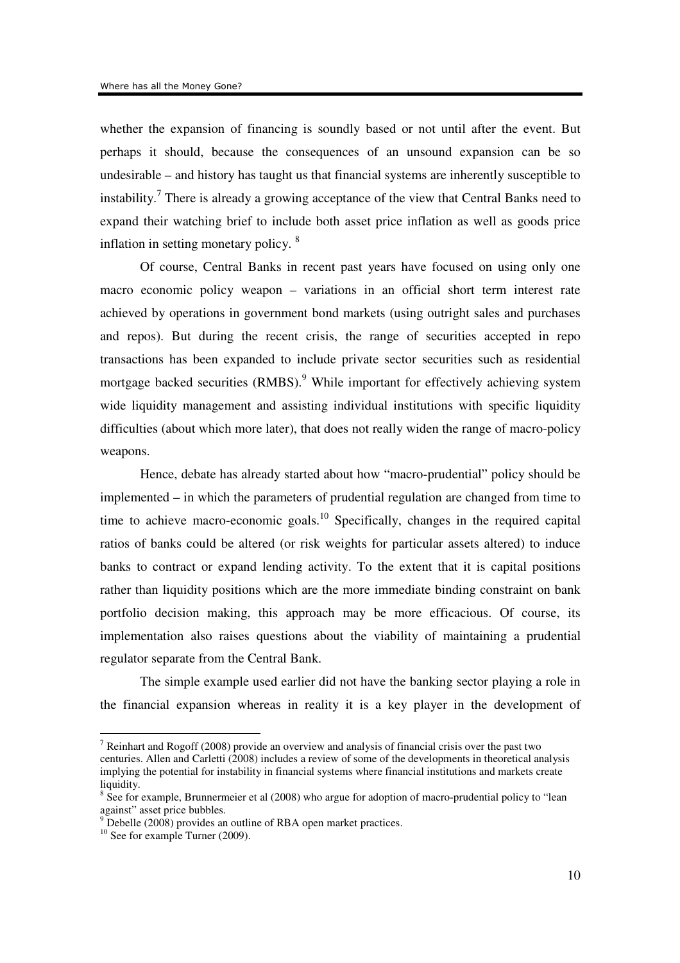whether the expansion of financing is soundly based or not until after the event. But perhaps it should, because the consequences of an unsound expansion can be so undesirable – and history has taught us that financial systems are inherently susceptible to instability.<sup>7</sup> There is already a growing acceptance of the view that Central Banks need to expand their watching brief to include both asset price inflation as well as goods price inflation in setting monetary policy. <sup>8</sup>

Of course, Central Banks in recent past years have focused on using only one macro economic policy weapon – variations in an official short term interest rate achieved by operations in government bond markets (using outright sales and purchases and repos). But during the recent crisis, the range of securities accepted in repo transactions has been expanded to include private sector securities such as residential mortgage backed securities (RMBS).<sup>9</sup> While important for effectively achieving system wide liquidity management and assisting individual institutions with specific liquidity difficulties (about which more later), that does not really widen the range of macro-policy weapons.

Hence, debate has already started about how "macro-prudential" policy should be implemented – in which the parameters of prudential regulation are changed from time to time to achieve macro-economic goals.<sup>10</sup> Specifically, changes in the required capital ratios of banks could be altered (or risk weights for particular assets altered) to induce banks to contract or expand lending activity. To the extent that it is capital positions rather than liquidity positions which are the more immediate binding constraint on bank portfolio decision making, this approach may be more efficacious. Of course, its implementation also raises questions about the viability of maintaining a prudential regulator separate from the Central Bank.

The simple example used earlier did not have the banking sector playing a role in the financial expansion whereas in reality it is a key player in the development of

The summark and Rogoff (2008) provide an overview and analysis of financial crisis over the past two Theorial crisis over the past two centuries. Allen and Carletti (2008) includes a review of some of the developments in theoretical analysis implying the potential for instability in financial systems where financial institutions and markets create liquidity.

 $8$  See for example, Brunnermeier et al (2008) who argue for adoption of macro-prudential policy to "lean against" asset price bubbles.<br><sup>9</sup> Debelle (2008) provides an

Debelle (2008) provides an outline of RBA open market practices.

<sup>&</sup>lt;sup>10</sup> See for example Turner (2009).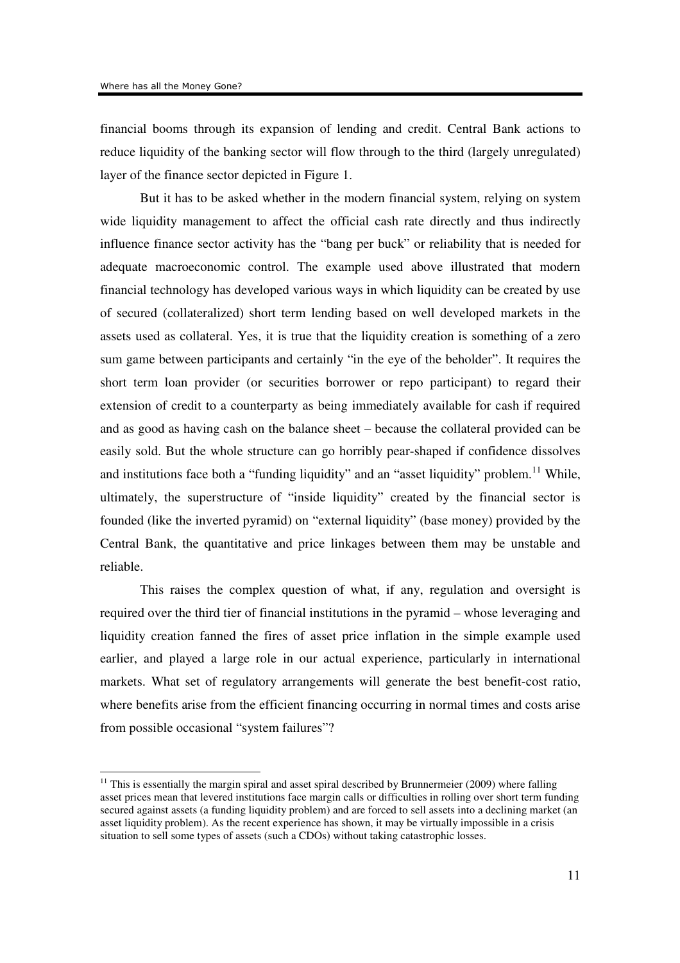financial booms through its expansion of lending and credit. Central Bank actions to reduce liquidity of the banking sector will flow through to the third (largely unregulated) layer of the finance sector depicted in Figure 1.

But it has to be asked whether in the modern financial system, relying on system wide liquidity management to affect the official cash rate directly and thus indirectly influence finance sector activity has the "bang per buck" or reliability that is needed for adequate macroeconomic control. The example used above illustrated that modern financial technology has developed various ways in which liquidity can be created by use of secured (collateralized) short term lending based on well developed markets in the assets used as collateral. Yes, it is true that the liquidity creation is something of a zero sum game between participants and certainly "in the eye of the beholder". It requires the short term loan provider (or securities borrower or repo participant) to regard their extension of credit to a counterparty as being immediately available for cash if required and as good as having cash on the balance sheet – because the collateral provided can be easily sold. But the whole structure can go horribly pear-shaped if confidence dissolves and institutions face both a "funding liquidity" and an "asset liquidity" problem.<sup>11</sup> While, ultimately, the superstructure of "inside liquidity" created by the financial sector is founded (like the inverted pyramid) on "external liquidity" (base money) provided by the Central Bank, the quantitative and price linkages between them may be unstable and reliable.

This raises the complex question of what, if any, regulation and oversight is required over the third tier of financial institutions in the pyramid – whose leveraging and liquidity creation fanned the fires of asset price inflation in the simple example used earlier, and played a large role in our actual experience, particularly in international markets. What set of regulatory arrangements will generate the best benefit-cost ratio, where benefits arise from the efficient financing occurring in normal times and costs arise from possible occasional "system failures"?

 $11$  This is essentially the margin spiral and asset spiral described by Brunnermeier (2009) where falling asset prices mean that levered institutions face margin calls or difficulties in rolling over short term funding secured against assets (a funding liquidity problem) and are forced to sell assets into a declining market (an asset liquidity problem). As the recent experience has shown, it may be virtually impossible in a crisis situation to sell some types of assets (such a CDOs) without taking catastrophic losses.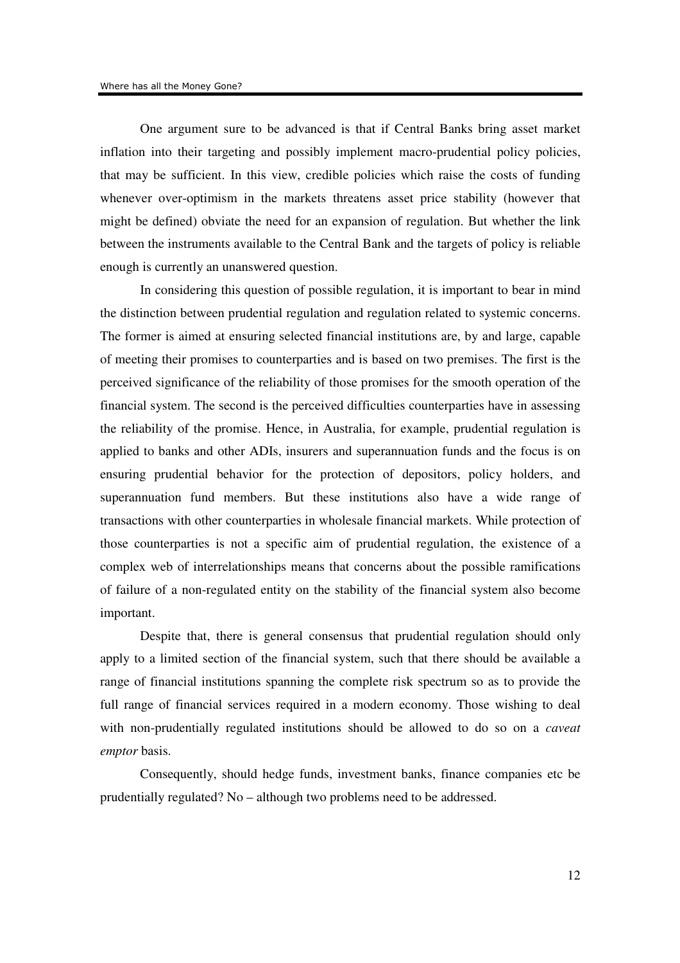One argument sure to be advanced is that if Central Banks bring asset market inflation into their targeting and possibly implement macro-prudential policy policies, that may be sufficient. In this view, credible policies which raise the costs of funding whenever over-optimism in the markets threatens asset price stability (however that might be defined) obviate the need for an expansion of regulation. But whether the link between the instruments available to the Central Bank and the targets of policy is reliable enough is currently an unanswered question.

In considering this question of possible regulation, it is important to bear in mind the distinction between prudential regulation and regulation related to systemic concerns. The former is aimed at ensuring selected financial institutions are, by and large, capable of meeting their promises to counterparties and is based on two premises. The first is the perceived significance of the reliability of those promises for the smooth operation of the financial system. The second is the perceived difficulties counterparties have in assessing the reliability of the promise. Hence, in Australia, for example, prudential regulation is applied to banks and other ADIs, insurers and superannuation funds and the focus is on ensuring prudential behavior for the protection of depositors, policy holders, and superannuation fund members. But these institutions also have a wide range of transactions with other counterparties in wholesale financial markets. While protection of those counterparties is not a specific aim of prudential regulation, the existence of a complex web of interrelationships means that concerns about the possible ramifications of failure of a non-regulated entity on the stability of the financial system also become important.

Despite that, there is general consensus that prudential regulation should only apply to a limited section of the financial system, such that there should be available a range of financial institutions spanning the complete risk spectrum so as to provide the full range of financial services required in a modern economy. Those wishing to deal with non-prudentially regulated institutions should be allowed to do so on a *caveat emptor* basis.

Consequently, should hedge funds, investment banks, finance companies etc be prudentially regulated? No – although two problems need to be addressed.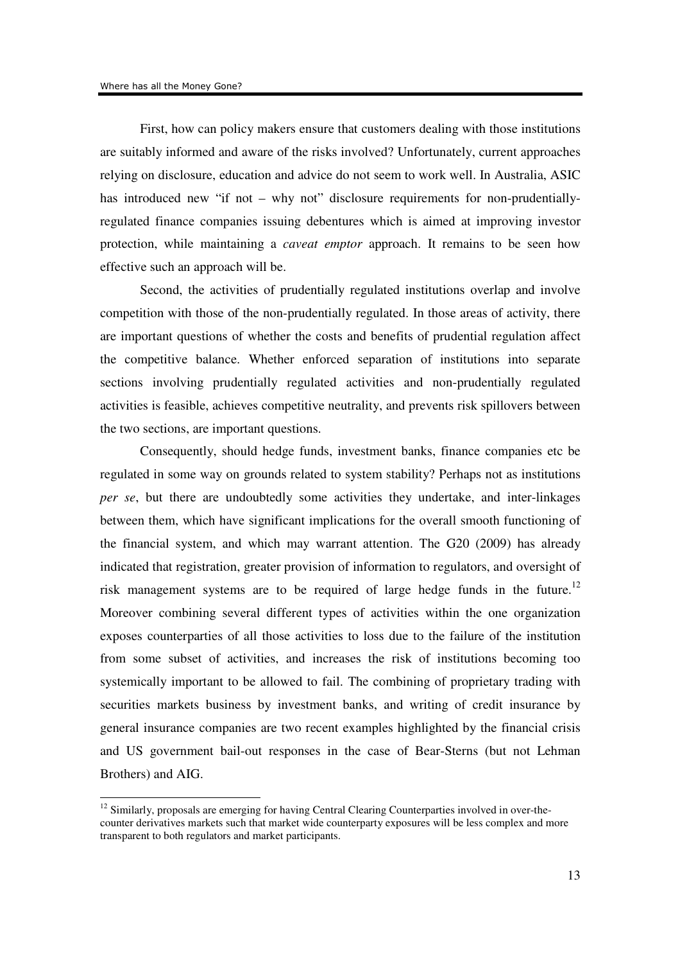First, how can policy makers ensure that customers dealing with those institutions are suitably informed and aware of the risks involved? Unfortunately, current approaches relying on disclosure, education and advice do not seem to work well. In Australia, ASIC has introduced new "if not – why not" disclosure requirements for non-prudentiallyregulated finance companies issuing debentures which is aimed at improving investor protection, while maintaining a *caveat emptor* approach. It remains to be seen how effective such an approach will be.

Second, the activities of prudentially regulated institutions overlap and involve competition with those of the non-prudentially regulated. In those areas of activity, there are important questions of whether the costs and benefits of prudential regulation affect the competitive balance. Whether enforced separation of institutions into separate sections involving prudentially regulated activities and non-prudentially regulated activities is feasible, achieves competitive neutrality, and prevents risk spillovers between the two sections, are important questions.

Consequently, should hedge funds, investment banks, finance companies etc be regulated in some way on grounds related to system stability? Perhaps not as institutions *per se*, but there are undoubtedly some activities they undertake, and inter-linkages between them, which have significant implications for the overall smooth functioning of the financial system, and which may warrant attention. The G20 (2009) has already indicated that registration, greater provision of information to regulators, and oversight of risk management systems are to be required of large hedge funds in the future.<sup>12</sup> Moreover combining several different types of activities within the one organization exposes counterparties of all those activities to loss due to the failure of the institution from some subset of activities, and increases the risk of institutions becoming too systemically important to be allowed to fail. The combining of proprietary trading with securities markets business by investment banks, and writing of credit insurance by general insurance companies are two recent examples highlighted by the financial crisis and US government bail-out responses in the case of Bear-Sterns (but not Lehman Brothers) and AIG.

<sup>&</sup>lt;sup>12</sup> Similarly, proposals are emerging for having Central Clearing Counterparties involved in over-thecounter derivatives markets such that market wide counterparty exposures will be less complex and more transparent to both regulators and market participants.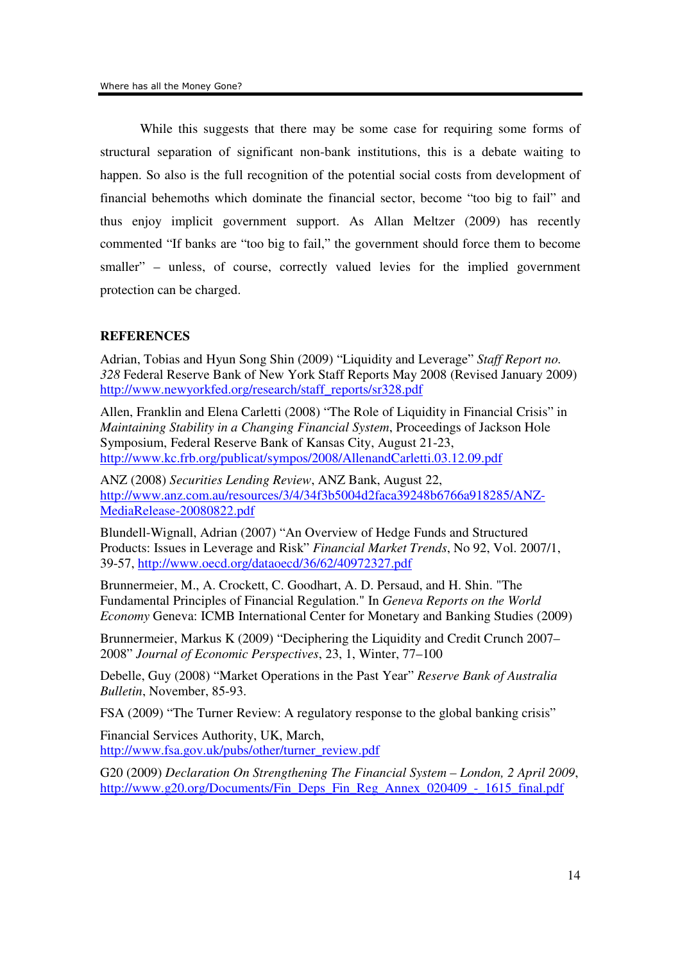While this suggests that there may be some case for requiring some forms of structural separation of significant non-bank institutions, this is a debate waiting to happen. So also is the full recognition of the potential social costs from development of financial behemoths which dominate the financial sector, become "too big to fail" and thus enjoy implicit government support. As Allan Meltzer (2009) has recently commented "If banks are "too big to fail," the government should force them to become smaller" – unless, of course, correctly valued levies for the implied government protection can be charged.

## **REFERENCES**

Adrian, Tobias and Hyun Song Shin (2009) "Liquidity and Leverage" *Staff Report no. 328* Federal Reserve Bank of New York Staff Reports May 2008 (Revised January 2009) http://www.newyorkfed.org/research/staff\_reports/sr328.pdf

Allen, Franklin and Elena Carletti (2008) "The Role of Liquidity in Financial Crisis" in *Maintaining Stability in a Changing Financial System*, Proceedings of Jackson Hole Symposium, Federal Reserve Bank of Kansas City, August 21-23, http://www.kc.frb.org/publicat/sympos/2008/AllenandCarletti.03.12.09.pdf

ANZ (2008) *Securities Lending Review*, ANZ Bank, August 22, http://www.anz.com.au/resources/3/4/34f3b5004d2faca39248b6766a918285/ANZ-MediaRelease-20080822.pdf

Blundell-Wignall, Adrian (2007) "An Overview of Hedge Funds and Structured Products: Issues in Leverage and Risk" *Financial Market Trends*, No 92, Vol. 2007/1, 39-57, http://www.oecd.org/dataoecd/36/62/40972327.pdf

Brunnermeier, M., A. Crockett, C. Goodhart, A. D. Persaud, and H. Shin. "The Fundamental Principles of Financial Regulation." In *Geneva Reports on the World Economy* Geneva: ICMB International Center for Monetary and Banking Studies (2009)

Brunnermeier, Markus K (2009) "Deciphering the Liquidity and Credit Crunch 2007– 2008" *Journal of Economic Perspectives*, 23, 1, Winter, 77–100

Debelle, Guy (2008) "Market Operations in the Past Year" *Reserve Bank of Australia Bulletin*, November, 85-93.

FSA (2009) "The Turner Review: A regulatory response to the global banking crisis"

Financial Services Authority, UK, March, http://www.fsa.gov.uk/pubs/other/turner\_review.pdf

G20 (2009) *Declaration On Strengthening The Financial System – London, 2 April 2009*, http://www.g20.org/Documents/Fin\_Deps\_Fin\_Reg\_Annex\_020409\_-\_1615\_final.pdf